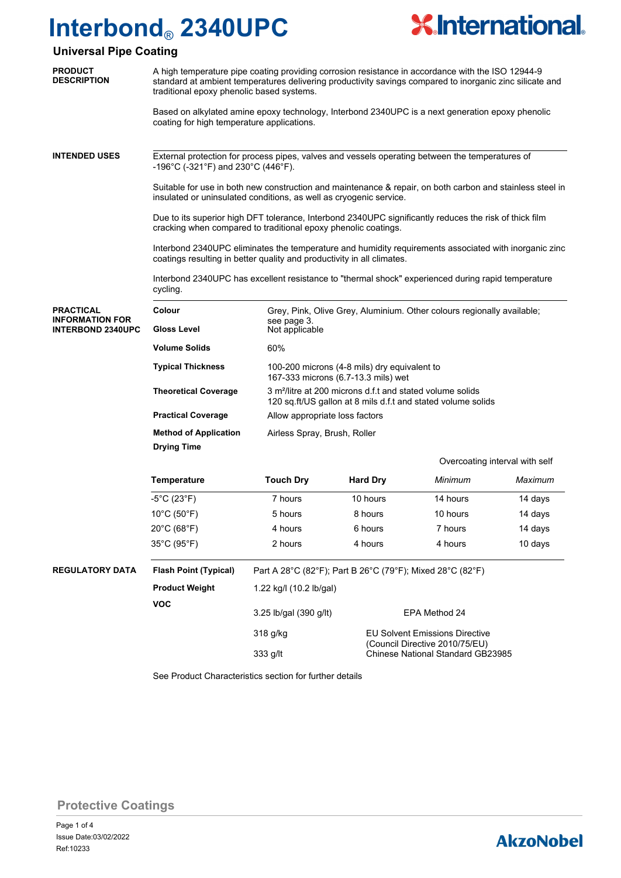

### **Universal Pipe Coating**

| <b>PRODUCT</b><br><b>DESCRIPTION</b>                                   | A high temperature pipe coating providing corrosion resistance in accordance with the ISO 12944-9<br>standard at ambient temperatures delivering productivity savings compared to inorganic zinc silicate and<br>traditional epoxy phenolic based systems. |                                                                                                                                       |                                                                                                                               |                                |         |  |  |
|------------------------------------------------------------------------|------------------------------------------------------------------------------------------------------------------------------------------------------------------------------------------------------------------------------------------------------------|---------------------------------------------------------------------------------------------------------------------------------------|-------------------------------------------------------------------------------------------------------------------------------|--------------------------------|---------|--|--|
|                                                                        | Based on alkylated amine epoxy technology, Interbond 2340UPC is a next generation epoxy phenolic<br>coating for high temperature applications.                                                                                                             |                                                                                                                                       |                                                                                                                               |                                |         |  |  |
| <b>INTENDED USES</b>                                                   | External protection for process pipes, valves and vessels operating between the temperatures of<br>-196°C (-321°F) and 230°C (446°F).                                                                                                                      |                                                                                                                                       |                                                                                                                               |                                |         |  |  |
|                                                                        | Suitable for use in both new construction and maintenance & repair, on both carbon and stainless steel in<br>insulated or uninsulated conditions, as well as cryogenic service.                                                                            |                                                                                                                                       |                                                                                                                               |                                |         |  |  |
|                                                                        | Due to its superior high DFT tolerance, Interbond 2340UPC significantly reduces the risk of thick film<br>cracking when compared to traditional epoxy phenolic coatings.                                                                                   |                                                                                                                                       |                                                                                                                               |                                |         |  |  |
|                                                                        | Interbond 2340UPC eliminates the temperature and humidity requirements associated with inorganic zinc<br>coatings resulting in better quality and productivity in all climates.                                                                            |                                                                                                                                       |                                                                                                                               |                                |         |  |  |
|                                                                        | Interbond 2340UPC has excellent resistance to "thermal shock" experienced during rapid temperature<br>cycling.                                                                                                                                             |                                                                                                                                       |                                                                                                                               |                                |         |  |  |
| <b>PRACTICAL</b><br><b>INFORMATION FOR</b><br><b>INTERBOND 2340UPC</b> | Colour                                                                                                                                                                                                                                                     | Grey, Pink, Olive Grey, Aluminium. Other colours regionally available;                                                                |                                                                                                                               |                                |         |  |  |
|                                                                        | <b>Gloss Level</b>                                                                                                                                                                                                                                         | see page 3.<br>Not applicable                                                                                                         |                                                                                                                               |                                |         |  |  |
|                                                                        | <b>Volume Solids</b>                                                                                                                                                                                                                                       | 60%                                                                                                                                   |                                                                                                                               |                                |         |  |  |
|                                                                        | <b>Typical Thickness</b>                                                                                                                                                                                                                                   | 100-200 microns (4-8 mils) dry equivalent to<br>167-333 microns (6.7-13.3 mils) wet                                                   |                                                                                                                               |                                |         |  |  |
|                                                                        | <b>Theoretical Coverage</b>                                                                                                                                                                                                                                | 3 m <sup>2</sup> /litre at 200 microns d.f.t and stated volume solids<br>120 sq.ft/US gallon at 8 mils d.f.t and stated volume solids |                                                                                                                               |                                |         |  |  |
|                                                                        | <b>Practical Coverage</b>                                                                                                                                                                                                                                  | Allow appropriate loss factors                                                                                                        |                                                                                                                               |                                |         |  |  |
|                                                                        | <b>Method of Application</b><br>Airless Spray, Brush, Roller                                                                                                                                                                                               |                                                                                                                                       |                                                                                                                               |                                |         |  |  |
|                                                                        | <b>Drying Time</b>                                                                                                                                                                                                                                         |                                                                                                                                       |                                                                                                                               |                                |         |  |  |
|                                                                        |                                                                                                                                                                                                                                                            |                                                                                                                                       |                                                                                                                               | Overcoating interval with self |         |  |  |
|                                                                        | <b>Temperature</b>                                                                                                                                                                                                                                         | <b>Touch Dry</b>                                                                                                                      | <b>Hard Dry</b>                                                                                                               | Minimum                        | Maximum |  |  |
|                                                                        | $-5^{\circ}$ C (23 $^{\circ}$ F)                                                                                                                                                                                                                           | 7 hours                                                                                                                               | 10 hours                                                                                                                      | 14 hours                       | 14 days |  |  |
|                                                                        | $10^{\circ}$ C (50 $^{\circ}$ F)                                                                                                                                                                                                                           | 5 hours                                                                                                                               | 8 hours                                                                                                                       | 10 hours                       | 14 days |  |  |
|                                                                        | 20°C (68°F)                                                                                                                                                                                                                                                | 4 hours                                                                                                                               | 6 hours                                                                                                                       | 7 hours                        | 14 days |  |  |
|                                                                        | 35°C (95°F)                                                                                                                                                                                                                                                | 2 hours                                                                                                                               | 4 hours                                                                                                                       | 4 hours                        | 10 days |  |  |
| <b>REGULATORY DATA</b>                                                 | <b>Flash Point (Typical)</b>                                                                                                                                                                                                                               | Part A 28°C (82°F); Part B 26°C (79°F); Mixed 28°C (82°F)                                                                             |                                                                                                                               |                                |         |  |  |
|                                                                        | <b>Product Weight</b>                                                                                                                                                                                                                                      | 1.22 kg/l (10.2 lb/gal)                                                                                                               |                                                                                                                               |                                |         |  |  |
|                                                                        | <b>VOC</b>                                                                                                                                                                                                                                                 | 3.25 lb/gal (390 g/lt)                                                                                                                | EPA Method 24<br><b>EU Solvent Emissions Directive</b><br>(Council Directive 2010/75/EU)<br>Chinese National Standard GB23985 |                                |         |  |  |
|                                                                        |                                                                                                                                                                                                                                                            | 318 g/kg                                                                                                                              |                                                                                                                               |                                |         |  |  |
|                                                                        |                                                                                                                                                                                                                                                            | 333 g/lt                                                                                                                              |                                                                                                                               |                                |         |  |  |

See Product Characteristics section for further details

**Protective Coatings**

## **AkzoNobel**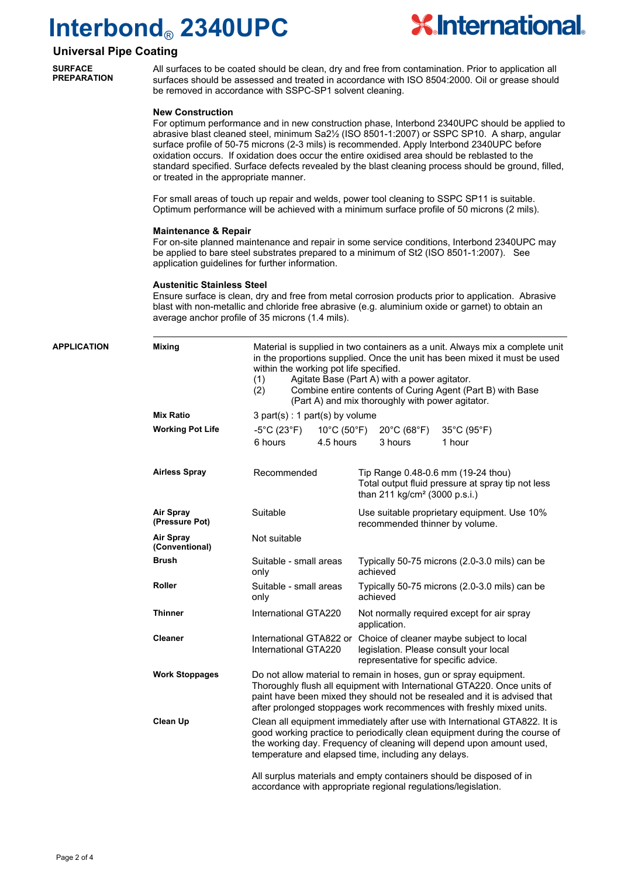

### **Universal Pipe Coating**

**SURFACE PREPARATION**

All surfaces to be coated should be clean, dry and free from contamination. Prior to application all surfaces should be assessed and treated in accordance with ISO 8504:2000. Oil or grease should be removed in accordance with SSPC-SP1 solvent cleaning.

#### **New Construction**

For optimum performance and in new construction phase, Interbond 2340UPC should be applied to abrasive blast cleaned steel, minimum Sa2½ (ISO 8501-1:2007) or SSPC SP10. A sharp, angular surface profile of 50-75 microns (2-3 mils) is recommended. Apply Interbond 2340UPC before oxidation occurs. If oxidation does occur the entire oxidised area should be reblasted to the standard specified. Surface defects revealed by the blast cleaning process should be ground, filled, or treated in the appropriate manner.

For small areas of touch up repair and welds, power tool cleaning to SSPC SP11 is suitable. Optimum performance will be achieved with a minimum surface profile of 50 microns (2 mils).

#### **Maintenance & Repair**

For on-site planned maintenance and repair in some service conditions, Interbond 2340UPC may be applied to bare steel substrates prepared to a minimum of St2 (ISO 8501-1:2007). See application guidelines for further information.

#### **Austenitic Stainless Steel**

Ensure surface is clean, dry and free from metal corrosion products prior to application. Abrasive blast with non-metallic and chloride free abrasive (e.g. aluminium oxide or garnet) to obtain an average anchor profile of 35 microns (1.4 mils).

| <b>APPLICATION</b> | <b>Mixing</b>                      | Material is supplied in two containers as a unit. Always mix a complete unit<br>in the proportions supplied. Once the unit has been mixed it must be used<br>within the working pot life specified.<br>Agitate Base (Part A) with a power agitator.<br>(1)<br>Combine entire contents of Curing Agent (Part B) with Base<br>(2)<br>(Part A) and mix thoroughly with power agitator. |                        |                                                                                                                                                   |                                                           |  |  |
|--------------------|------------------------------------|-------------------------------------------------------------------------------------------------------------------------------------------------------------------------------------------------------------------------------------------------------------------------------------------------------------------------------------------------------------------------------------|------------------------|---------------------------------------------------------------------------------------------------------------------------------------------------|-----------------------------------------------------------|--|--|
|                    | <b>Mix Ratio</b>                   | $3$ part(s) : 1 part(s) by volume                                                                                                                                                                                                                                                                                                                                                   |                        |                                                                                                                                                   |                                                           |  |  |
|                    | <b>Working Pot Life</b>            | $-5^{\circ}$ C (23 $^{\circ}$ F) $^{-}$<br>10°C (50°F)                                                                                                                                                                                                                                                                                                                              |                        | $20^{\circ}$ C (68 $^{\circ}$ F)                                                                                                                  | 35°C (95°F)                                               |  |  |
|                    |                                    | 6 hours                                                                                                                                                                                                                                                                                                                                                                             | 4.5 hours              | 3 hours                                                                                                                                           | 1 hour                                                    |  |  |
|                    | <b>Airless Spray</b>               | Recommended                                                                                                                                                                                                                                                                                                                                                                         |                        | Tip Range 0.48-0.6 mm (19-24 thou)<br>Total output fluid pressure at spray tip not less<br>than 211 kg/cm <sup>2</sup> (3000 p.s.i.)              |                                                           |  |  |
|                    | <b>Air Spray</b><br>(Pressure Pot) | Suitable                                                                                                                                                                                                                                                                                                                                                                            |                        | Use suitable proprietary equipment. Use 10%<br>recommended thinner by volume.                                                                     |                                                           |  |  |
|                    | Air Spray<br>(Conventional)        | Not suitable                                                                                                                                                                                                                                                                                                                                                                        |                        |                                                                                                                                                   |                                                           |  |  |
|                    | <b>Brush</b>                       | Suitable - small areas<br>only                                                                                                                                                                                                                                                                                                                                                      |                        | Typically 50-75 microns (2.0-3.0 mils) can be<br>achieved                                                                                         |                                                           |  |  |
|                    | Roller                             | only                                                                                                                                                                                                                                                                                                                                                                                | Suitable - small areas |                                                                                                                                                   | Typically 50-75 microns (2.0-3.0 mils) can be<br>achieved |  |  |
|                    | <b>Thinner</b>                     | International GTA220                                                                                                                                                                                                                                                                                                                                                                |                        | Not normally required except for air spray<br>application.                                                                                        |                                                           |  |  |
|                    | <b>Cleaner</b>                     | International GTA220                                                                                                                                                                                                                                                                                                                                                                |                        | International GTA822 or Choice of cleaner maybe subject to local<br>legislation. Please consult your local<br>representative for specific advice. |                                                           |  |  |
|                    | <b>Work Stoppages</b>              | Do not allow material to remain in hoses, gun or spray equipment.<br>Thoroughly flush all equipment with International GTA220. Once units of<br>paint have been mixed they should not be resealed and it is advised that<br>after prolonged stoppages work recommences with freshly mixed units.                                                                                    |                        |                                                                                                                                                   |                                                           |  |  |
|                    | <b>Clean Up</b>                    | Clean all equipment immediately after use with International GTA822. It is<br>good working practice to periodically clean equipment during the course of<br>the working day. Frequency of cleaning will depend upon amount used,<br>temperature and elapsed time, including any delays.                                                                                             |                        |                                                                                                                                                   |                                                           |  |  |
|                    |                                    | All surplus materials and empty containers should be disposed of in<br>accordance with appropriate regional regulations/legislation.                                                                                                                                                                                                                                                |                        |                                                                                                                                                   |                                                           |  |  |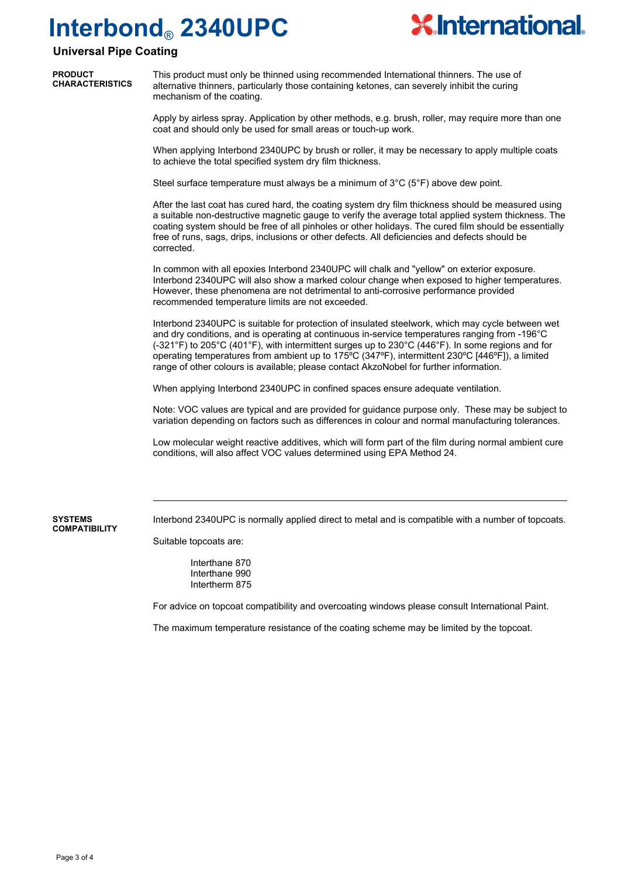corrected.



### **Universal Pipe Coating**

| <b>PRODUCT</b><br><b>CHARACTERISTICS</b> | This product must only be thinned using recommended International thinners. The use of<br>alternative thinners, particularly those containing ketones, can severely inhibit the curing<br>mechanism of the coating.                                                                                                |
|------------------------------------------|--------------------------------------------------------------------------------------------------------------------------------------------------------------------------------------------------------------------------------------------------------------------------------------------------------------------|
|                                          | Apply by airless spray. Application by other methods, e.g. brush, roller, may require more than one<br>coat and should only be used for small areas or touch-up work.                                                                                                                                              |
|                                          | When applying Interbond 2340UPC by brush or roller, it may be necessary to apply multiple coats<br>to achieve the total specified system dry film thickness.                                                                                                                                                       |
|                                          | Steel surface temperature must always be a minimum of $3^{\circ}C$ ( $5^{\circ}F$ ) above dew point.                                                                                                                                                                                                               |
|                                          | After the last coat has cured hard, the coating system dry film thickness should be measured using<br>a suitable non-destructive magnetic gauge to verify the average total applied system thickness. The<br>coating system should be free of all pinholes or other holidays. The cured film should be essentially |

In common with all epoxies Interbond 2340UPC will chalk and "yellow" on exterior exposure. Interbond 2340UPC will also show a marked colour change when exposed to higher temperatures. However, these phenomena are not detrimental to anti-corrosive performance provided recommended temperature limits are not exceeded.

free of runs, sags, drips, inclusions or other defects. All deficiencies and defects should be

Interbond 2340UPC is suitable for protection of insulated steelwork, which may cycle between wet and dry conditions, and is operating at continuous in-service temperatures ranging from -196°C (-321°F) to 205°C (401°F), with intermittent surges up to 230°C (446°F). In some regions and for operating temperatures from ambient up to 175ºC (347ºF), intermittent 230ºC [446ºF]), a limited range of other colours is available; please contact AkzoNobel for further information.

When applying Interbond 2340UPC in confined spaces ensure adequate ventilation.

Note: VOC values are typical and are provided for guidance purpose only. These may be subject to variation depending on factors such as differences in colour and normal manufacturing tolerances.

Low molecular weight reactive additives, which will form part of the film during normal ambient cure conditions, will also affect VOC values determined using EPA Method 24.

Interbond 2340UPC is normally applied direct to metal and is compatible with a number of topcoats.

Suitable topcoats are:

Interthane 870 Interthane 990 Intertherm 875

For advice on topcoat compatibility and overcoating windows please consult International Paint.

The maximum temperature resistance of the coating scheme may be limited by the topcoat.

**SYSTEMS COMPATIBILITY**